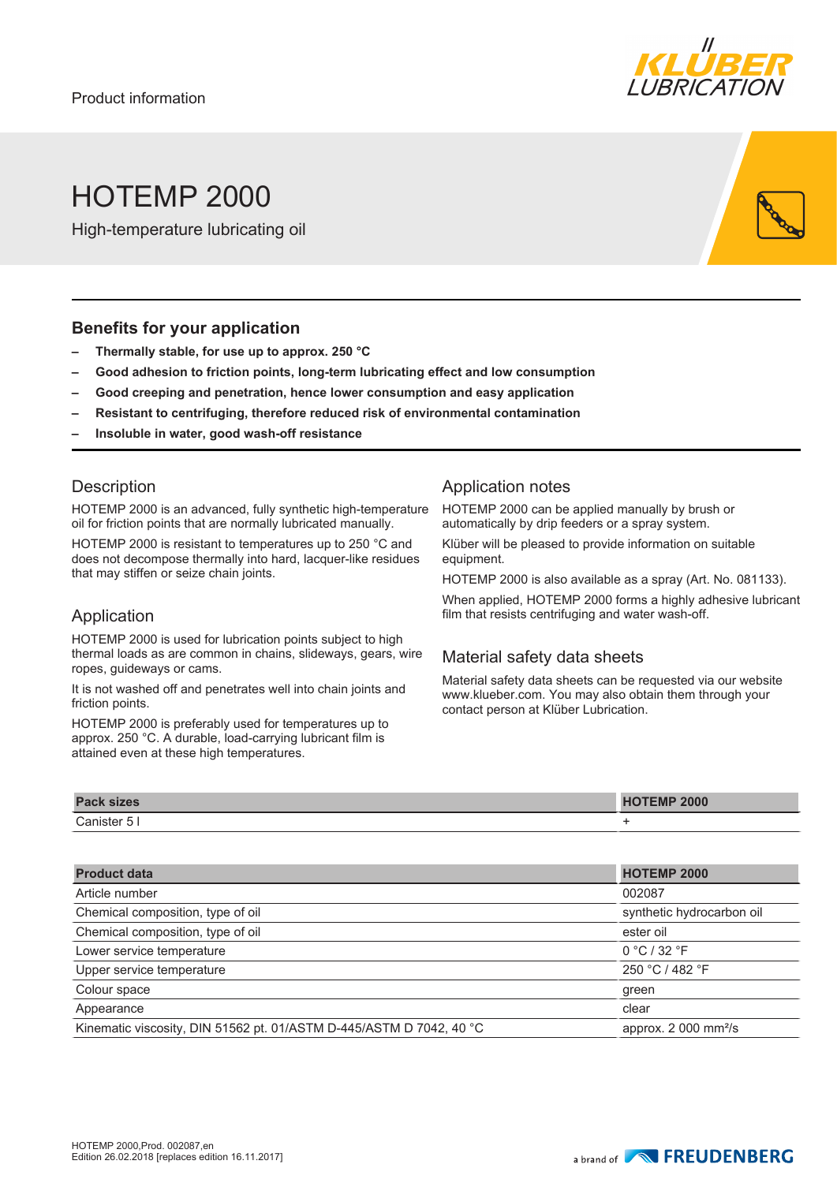

# HOTEMP 2000

High-temperature lubricating oil

#### **Benefits for your application**

- **– Thermally stable, for use up to approx. 250 °C**
- **– Good adhesion to friction points, long-term lubricating effect and low consumption**
- **– Good creeping and penetration, hence lower consumption and easy application**
- **– Resistant to centrifuging, therefore reduced risk of environmental contamination**
- **– Insoluble in water, good wash-off resistance**

#### **Description**

HOTEMP 2000 is an advanced, fully synthetic high-temperature oil for friction points that are normally lubricated manually.

HOTEMP 2000 is resistant to temperatures up to 250 °C and does not decompose thermally into hard, lacquer-like residues that may stiffen or seize chain joints.

#### Application

HOTEMP 2000 is used for lubrication points subject to high thermal loads as are common in chains, slideways, gears, wire ropes, guideways or cams.

It is not washed off and penetrates well into chain joints and friction points.

HOTEMP 2000 is preferably used for temperatures up to approx. 250 °C. A durable, load-carrying lubricant film is attained even at these high temperatures.

### Application notes

HOTEMP 2000 can be applied manually by brush or automatically by drip feeders or a spray system.

Klüber will be pleased to provide information on suitable equipment.

HOTEMP 2000 is also available as a spray (Art. No. 081133).

When applied, HOTEMP 2000 forms a highly adhesive lubricant film that resists centrifuging and water wash-off.

### Material safety data sheets

Material safety data sheets can be requested via our website www.klueber.com. You may also obtain them through your contact person at Klüber Lubrication.

| <b>Pack</b>                           | <b>MP 2000</b> |
|---------------------------------------|----------------|
| <b>sizes</b>                          | <b>EMP</b>     |
| $\overline{\phantom{0}}$<br>anister 5 |                |

| <b>Product data</b>                                                 | <b>HOTEMP 2000</b>                |
|---------------------------------------------------------------------|-----------------------------------|
| Article number                                                      | 002087                            |
| Chemical composition, type of oil                                   | synthetic hydrocarbon oil         |
| Chemical composition, type of oil                                   | ester oil                         |
| Lower service temperature                                           | 0 °C / 32 °F                      |
| Upper service temperature                                           | 250 °C / 482 °F                   |
| Colour space                                                        | green                             |
| Appearance                                                          | clear                             |
| Kinematic viscosity, DIN 51562 pt. 01/ASTM D-445/ASTM D 7042, 40 °C | approx. $2000$ mm <sup>2</sup> /s |
|                                                                     |                                   |